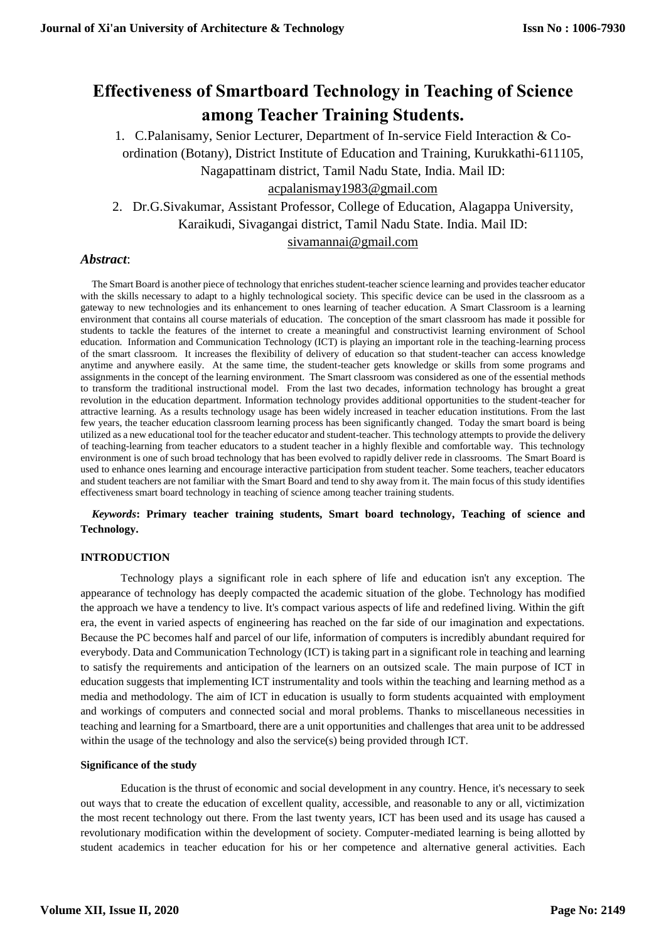# **Effectiveness of Smartboard Technology in Teaching of Science among Teacher Training Students.**

1. C.Palanisamy, Senior Lecturer, Department of In-service Field Interaction & Coordination (Botany), District Institute of Education and Training, Kurukkathi-611105, Nagapattinam district, Tamil Nadu State, India. Mail ID:

[acpalanismay1983@gmail.com](mailto:acpalanismay1983@gmail.com)

2. Dr.G.Sivakumar, Assistant Professor, College of Education, Alagappa University, Karaikudi, Sivagangai district, Tamil Nadu State. India. Mail ID: [sivamannai@gmail.com](mailto:sivamannai@gmail.com)

# *Abstract*:

The Smart Board is another piece of technology that enriches student-teacher science learning and provides teacher educator with the skills necessary to adapt to a highly technological society. This specific device can be used in the classroom as a gateway to new technologies and its enhancement to ones learning of teacher education. A Smart Classroom is a learning environment that contains all course materials of education. The conception of the smart classroom has made it possible for students to tackle the features of the internet to create a meaningful and constructivist learning environment of School education. Information and Communication Technology (ICT) is playing an important role in the teaching-learning process of the smart classroom. It increases the flexibility of delivery of education so that student-teacher can access knowledge anytime and anywhere easily. At the same time, the student-teacher gets knowledge or skills from some programs and assignments in the concept of the learning environment. The Smart classroom was considered as one of the essential methods to transform the traditional instructional model. From the last two decades, information technology has brought a great revolution in the education department. Information technology provides additional opportunities to the student-teacher for attractive learning. As a results technology usage has been widely increased in teacher education institutions. From the last few years, the teacher education classroom learning process has been significantly changed. Today the smart board is being utilized as a new educational tool for the teacher educator and student-teacher. This technology attempts to provide the delivery of teaching-learning from teacher educators to a student teacher in a highly flexible and comfortable way. This technology environment is one of such broad technology that has been evolved to rapidly deliver rede in classrooms. The Smart Board is used to enhance ones learning and encourage interactive participation from student teacher. Some teachers, teacher educators and student teachers are not familiar with the Smart Board and tend to shy away from it. The main focus of this study identifies effectiveness smart board technology in teaching of science among teacher training students.

*Keywords***: Primary teacher training students, Smart board technology, Teaching of science and Technology.**

# **INTRODUCTION**

Technology plays a significant role in each sphere of life and education isn't any exception. The appearance of technology has deeply compacted the academic situation of the globe. Technology has modified the approach we have a tendency to live. It's compact various aspects of life and redefined living. Within the gift era, the event in varied aspects of engineering has reached on the far side of our imagination and expectations. Because the PC becomes half and parcel of our life, information of computers is incredibly abundant required for everybody. Data and Communication Technology (ICT) is taking part in a significant role in teaching and learning to satisfy the requirements and anticipation of the learners on an outsized scale. The main purpose of ICT in education suggests that implementing ICT instrumentality and tools within the teaching and learning method as a media and methodology. The aim of ICT in education is usually to form students acquainted with employment and workings of computers and connected social and moral problems. Thanks to miscellaneous necessities in teaching and learning for a Smartboard, there are a unit opportunities and challenges that area unit to be addressed within the usage of the technology and also the service(s) being provided through ICT.

## **Significance of the study**

Education is the thrust of economic and social development in any country. Hence, it's necessary to seek out ways that to create the education of excellent quality, accessible, and reasonable to any or all, victimization the most recent technology out there. From the last twenty years, ICT has been used and its usage has caused a revolutionary modification within the development of society. Computer-mediated learning is being allotted by student academics in teacher education for his or her competence and alternative general activities. Each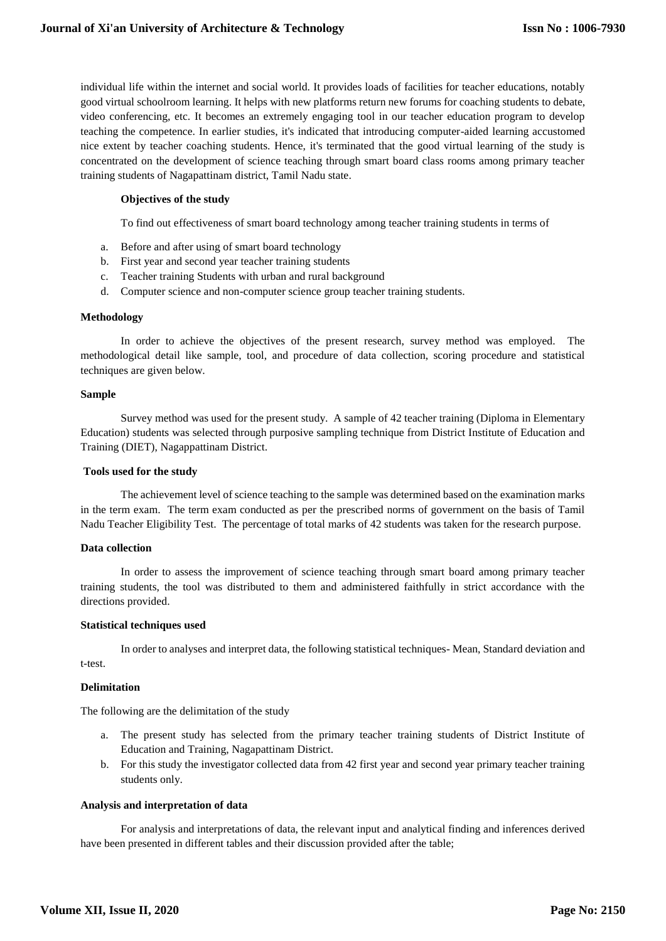individual life within the internet and social world. It provides loads of facilities for teacher educations, notably good virtual schoolroom learning. It helps with new platforms return new forums for coaching students to debate, video conferencing, etc. It becomes an extremely engaging tool in our teacher education program to develop teaching the competence. In earlier studies, it's indicated that introducing computer-aided learning accustomed nice extent by teacher coaching students. Hence, it's terminated that the good virtual learning of the study is concentrated on the development of science teaching through smart board class rooms among primary teacher training students of Nagapattinam district, Tamil Nadu state.

## **Objectives of the study**

To find out effectiveness of smart board technology among teacher training students in terms of

- a. Before and after using of smart board technology
- b. First year and second year teacher training students
- c. Teacher training Students with urban and rural background
- d. Computer science and non-computer science group teacher training students.

#### **Methodology**

In order to achieve the objectives of the present research, survey method was employed. The methodological detail like sample, tool, and procedure of data collection, scoring procedure and statistical techniques are given below.

#### **Sample**

Survey method was used for the present study. A sample of 42 teacher training (Diploma in Elementary Education) students was selected through purposive sampling technique from District Institute of Education and Training (DIET), Nagappattinam District.

## **Tools used for the study**

The achievement level of science teaching to the sample was determined based on the examination marks in the term exam. The term exam conducted as per the prescribed norms of government on the basis of Tamil Nadu Teacher Eligibility Test. The percentage of total marks of 42 students was taken for the research purpose.

#### **Data collection**

In order to assess the improvement of science teaching through smart board among primary teacher training students, the tool was distributed to them and administered faithfully in strict accordance with the directions provided.

#### **Statistical techniques used**

In order to analyses and interpret data, the following statistical techniques- Mean, Standard deviation and t-test.

#### **Delimitation**

The following are the delimitation of the study

- a. The present study has selected from the primary teacher training students of District Institute of Education and Training, Nagapattinam District.
- b. For this study the investigator collected data from 42 first year and second year primary teacher training students only.

#### **Analysis and interpretation of data**

For analysis and interpretations of data, the relevant input and analytical finding and inferences derived have been presented in different tables and their discussion provided after the table;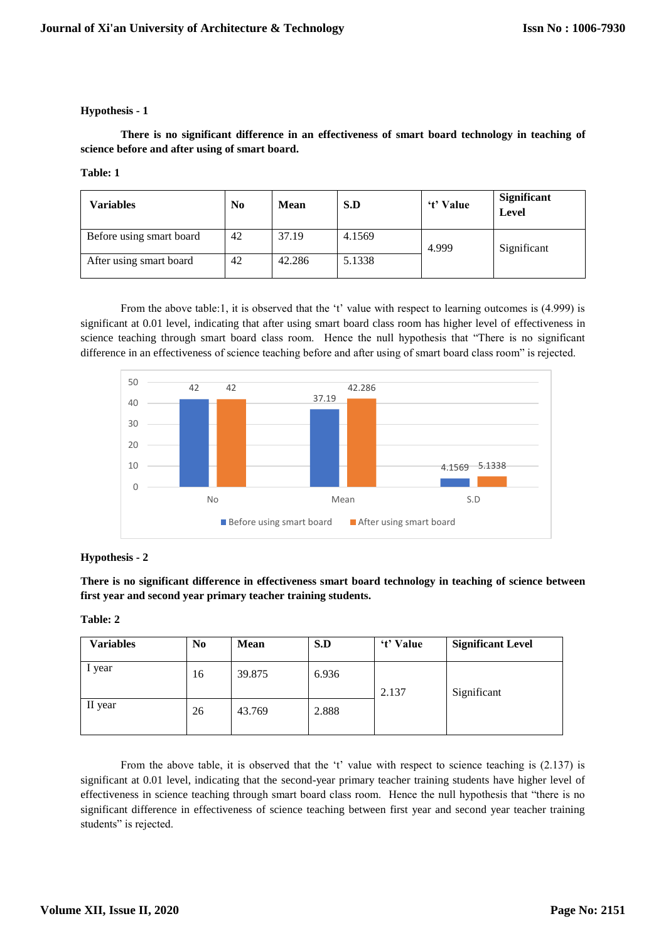# **Hypothesis - 1**

**There is no significant difference in an effectiveness of smart board technology in teaching of science before and after using of smart board.**

## **Table: 1**

| Variables                | No | <b>Mean</b> | S.D    | 't' Value | <b>Significant</b><br>Level |
|--------------------------|----|-------------|--------|-----------|-----------------------------|
| Before using smart board | 42 | 37.19       | 4.1569 | 4.999     | Significant                 |
| After using smart board  | 42 | 42.286      | 5.1338 |           |                             |

From the above table:1, it is observed that the 't' value with respect to learning outcomes is (4.999) is significant at 0.01 level, indicating that after using smart board class room has higher level of effectiveness in science teaching through smart board class room. Hence the null hypothesis that "There is no significant difference in an effectiveness of science teaching before and after using of smart board class room" is rejected.



# **Hypothesis - 2**

**There is no significant difference in effectiveness smart board technology in teaching of science between first year and second year primary teacher training students.**

## **Table: 2**

| Variables | N <sub>0</sub> | <b>Mean</b> | S.D   | 't' Value | <b>Significant Level</b> |
|-----------|----------------|-------------|-------|-----------|--------------------------|
| 1 year    | 16             | 39.875      | 6.936 | 2.137     | Significant              |
| II year   | 26             | 43.769      | 2.888 |           |                          |

From the above table, it is observed that the 't' value with respect to science teaching is (2.137) is significant at 0.01 level, indicating that the second-year primary teacher training students have higher level of effectiveness in science teaching through smart board class room. Hence the null hypothesis that "there is no significant difference in effectiveness of science teaching between first year and second year teacher training students" is rejected.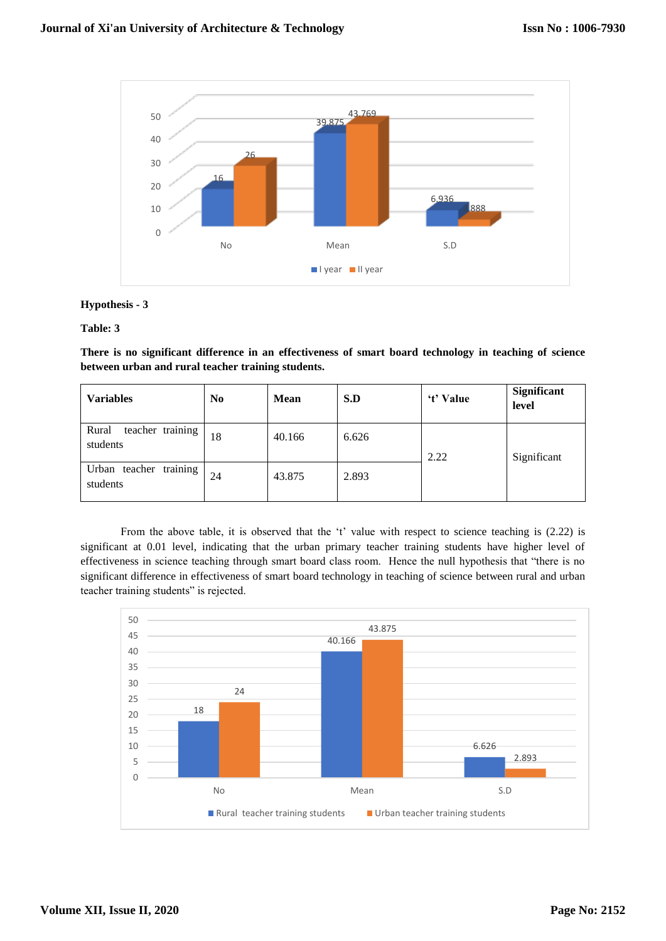

# **Hypothesis - 3**

## **Table: 3**

**There is no significant difference in an effectiveness of smart board technology in teaching of science between urban and rural teacher training students.**

| <b>Variables</b>                      | N <sub>0</sub> | <b>Mean</b> | S.D   | 't' Value | Significant<br>level |
|---------------------------------------|----------------|-------------|-------|-----------|----------------------|
| teacher training<br>Rural<br>students | 18             | 40.166      | 6.626 | 2.22      | Significant          |
| training<br>Urban teacher<br>students | 24             | 43.875      | 2.893 |           |                      |

From the above table, it is observed that the 't' value with respect to science teaching is (2.22) is significant at 0.01 level, indicating that the urban primary teacher training students have higher level of effectiveness in science teaching through smart board class room. Hence the null hypothesis that "there is no significant difference in effectiveness of smart board technology in teaching of science between rural and urban teacher training students" is rejected.

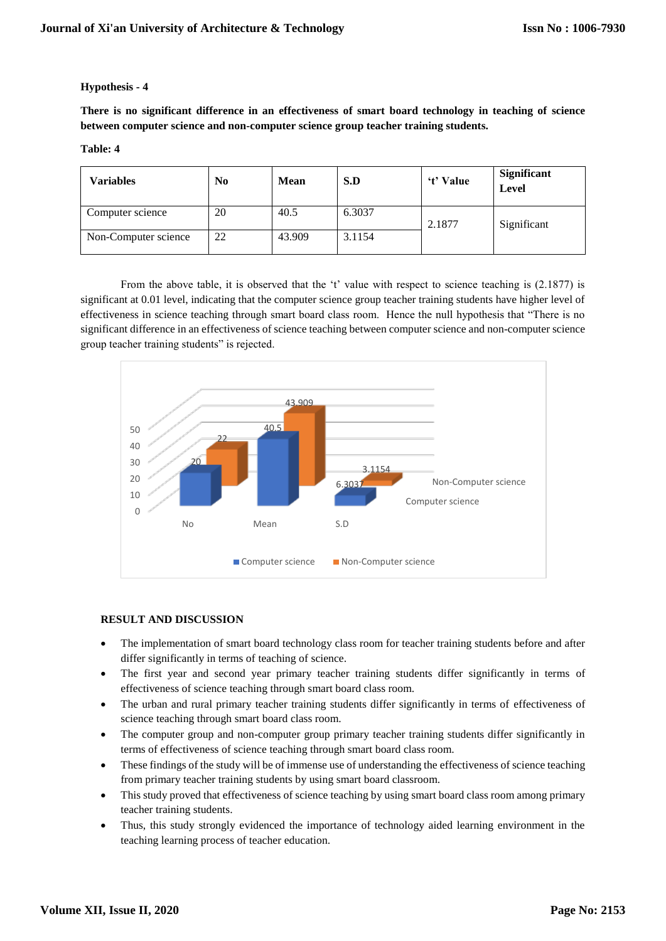# **Hypothesis - 4**

**There is no significant difference in an effectiveness of smart board technology in teaching of science between computer science and non-computer science group teacher training students.**

#### **Table: 4**

| Variables            | $\bf No$ | <b>Mean</b> | S.D    | 't' Value | <b>Significant</b><br>Level |
|----------------------|----------|-------------|--------|-----------|-----------------------------|
| Computer science     | 20       | 40.5        | 6.3037 | 2.1877    | Significant                 |
| Non-Computer science | 22       | 43.909      | 3.1154 |           |                             |

From the above table, it is observed that the 't' value with respect to science teaching is (2.1877) is significant at 0.01 level, indicating that the computer science group teacher training students have higher level of effectiveness in science teaching through smart board class room. Hence the null hypothesis that "There is no significant difference in an effectiveness of science teaching between computer science and non-computer science group teacher training students" is rejected.



## **RESULT AND DISCUSSION**

- The implementation of smart board technology class room for teacher training students before and after differ significantly in terms of teaching of science.
- The first year and second year primary teacher training students differ significantly in terms of effectiveness of science teaching through smart board class room.
- The urban and rural primary teacher training students differ significantly in terms of effectiveness of science teaching through smart board class room.
- The computer group and non-computer group primary teacher training students differ significantly in terms of effectiveness of science teaching through smart board class room.
- These findings of the study will be of immense use of understanding the effectiveness of science teaching from primary teacher training students by using smart board classroom.
- This study proved that effectiveness of science teaching by using smart board class room among primary teacher training students.
- Thus, this study strongly evidenced the importance of technology aided learning environment in the teaching learning process of teacher education.